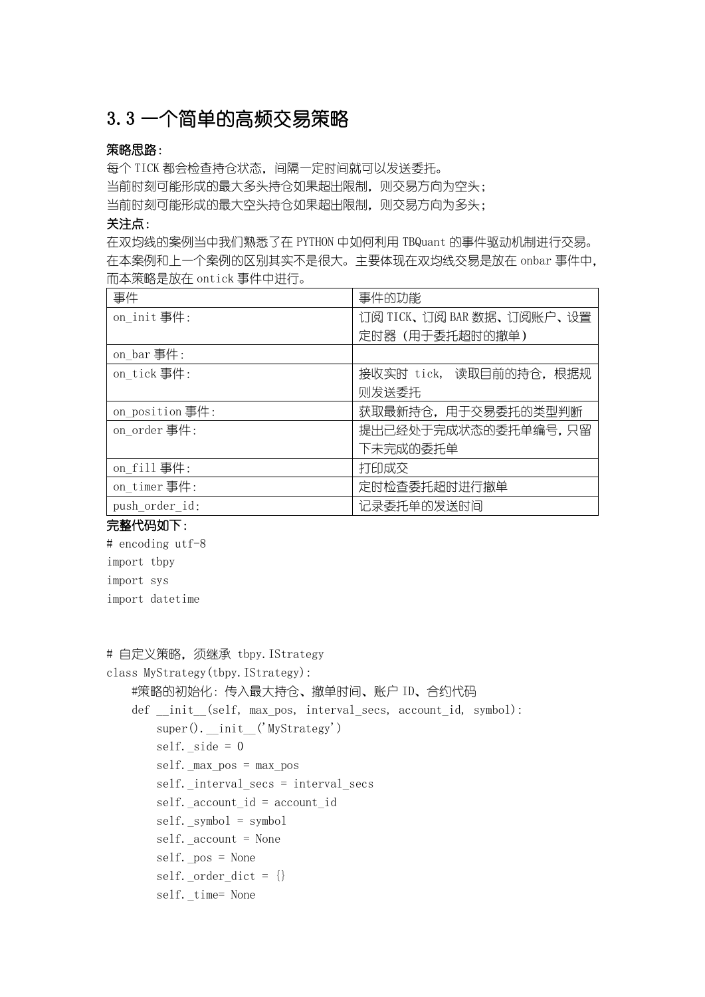# 3.3 一个简单的高频交易策略

## 策略思路:

每个 TICK 都会检查持仓状态, 间隔一定时间就可以发送委托。 当前时刻可能形成的最大多头持仓如果超出限制,则交易方向为空头; 当前时刻可能形成的最大空头持仓如果超出限制,则交易方向为多头;

#### 关注点:

在双均线的案例当中我们熟悉了在 PYTHON 中如何利用 TBQuant 的事件驱动机制进行交易。 在本案例和上一个案例的区别其实不是很大。主要体现在双均线交易是放在 onbar 事件中, 而本策略是放在 ontick 事件中进行。

| 事件              | 事件的功能                     |
|-----------------|---------------------------|
| on init 事件:     | 订阅 TICK、订阅 BAR 数据、订阅账户、设置 |
|                 | 定时器(用于委托超时的撤单)            |
| on bar 事件:      |                           |
| on tick 事件:     | 接收实时 tick, 读取目前的持仓, 根据规   |
|                 | 则发送委托                     |
| on position 事件: | 获取最新持仓,用于交易委托的类型判断        |
| on order 事件:    | 提出已经处于完成状态的委托单编号,只留       |
|                 | 下未完成的委托单                  |
| on fill 事件:     | 打印成交                      |
| on timer事件:     | 定时检查委托超时进行撤单              |
| push order id:  | 记录委托单的发送时间                |
|                 |                           |

完整代码如下:

# encoding utf-8 import tbpy import sys import datetime

```
# 自定义策略, 须继承 tbpy. IStrategy
class MyStrategy(tbpy.IStrategy):
    #策略的初始化:传入最大持仓、撤单时间、账户 ID、合约代码
   def init (self, max pos, interval secs, account id, symbol):
       super(). init ('MyStrategy')
       self. side = 0self. max_pos = max_posself. interval secs = interval secs
       self. account id = account id
       self. symbol = symbol
       self. account = None
       self. pos = None
       self. order dict = \{\}self. time= None
```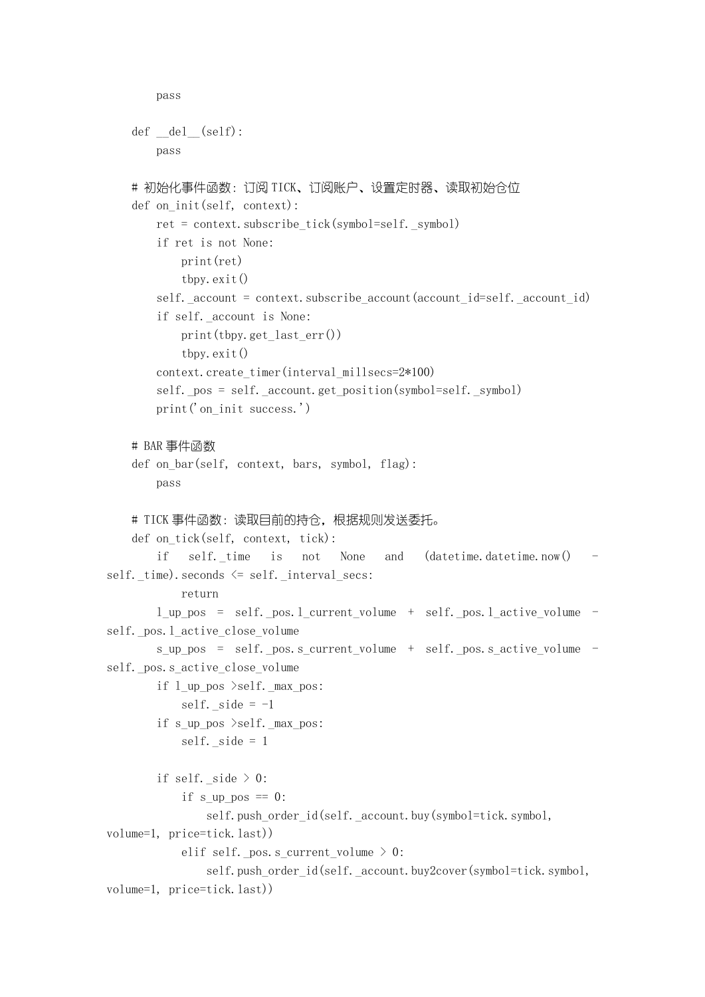```
 pass
   def \_\del{del}(\text{self}): pass
   # 初始化事件函数: 订阅 TICK、订阅账户、设置定时器、读取初始仓位
   def on init(self, context):
        ret = context.subscribe_tick(symbol=self._symbol)
        if ret is not None:
            print(ret)
             tbpy.exit()
       self. account = context. subscribe account (account id=self. account id)
        if self._account is None:
           print(tbpy.get last err())
             tbpy.exit()
       context.create_timer(interval_millsecs=2*100)
       self. pos = self. _account.get_position(symbol=self. _symbol)
       print('on init success.')
    # BAR 事件函数
   def on bar(self, context, bars, symbol, flag):
        pass
   # TICK 事件函数: 读取目前的持仓, 根据规则发送委托。
    def on tick(self, context, tick):
       if self. time is not None and (datetime.datetime.now()
self._time).seconds <= self._interval_secs:
            return
        l_up_pos = self._pos.l_current_volume + self._pos.l_active_volume -
self. pos. 1 active close volume
        s_up_pos = self._pos.s_current_volume + self._pos.s_active_volume -
self. pos.s active close volume
        if l_up_pos >self._max_pos:
           self. side = -1if s up pos >self. max pos:
           self. side = 1 if self._side > 0:
            if s up pos == 0:
               self.push_order_id(self._account.buy(symbol=tick.symbol,
volume=1, price=tick.last))
            elif self. pos.s current volume > 0:
               self.push_order_id(self._account.buy2cover(symbol=tick.symbol,
volume=1, price=tick.last))
```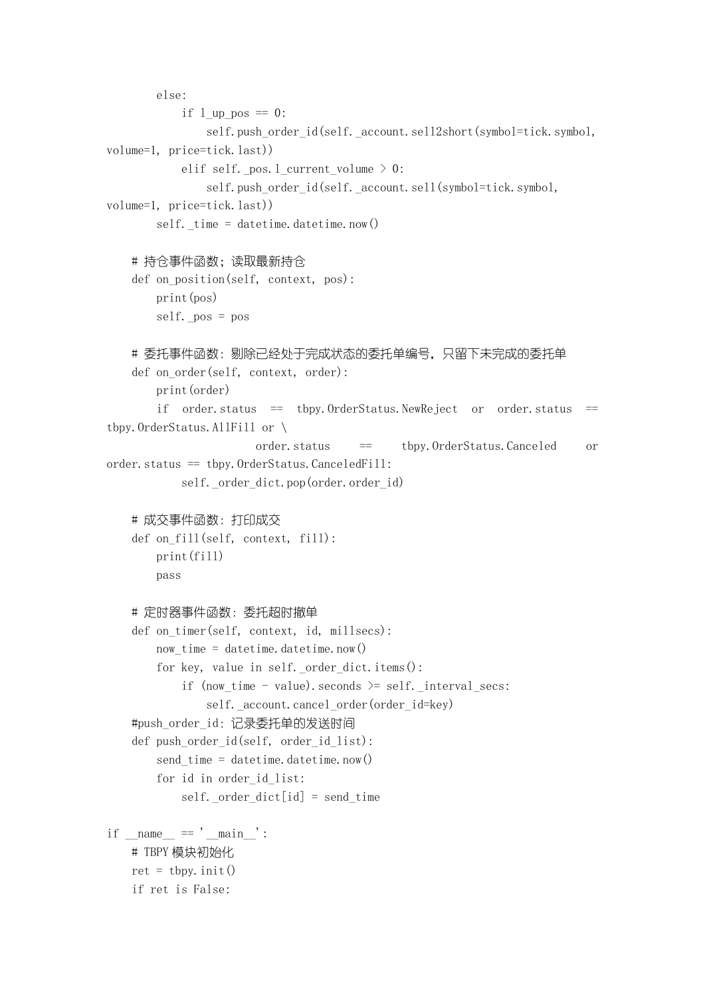```
 else:
           if 1 up pos == 0:
               self.push_order_id(self._account.sell2short(symbol=tick.symbol,
volume=1, price=tick.last))
           elif self. pos.l current volume > 0:
               self.push_order_id(self._account.sell(symbol=tick.symbol,
volume=1, price=tick.last))
       self. _ time = datetime.datetime.now()
    # 持仓事件函数;读取最新持仓
   def on position(self, context, pos):
        print(pos)
       self. pos = pos
   # 委托事件函数: 剔除已经处于完成状态的委托单编号, 只留下未完成的委托单
   def on order(self, context, order):
        print(order)
       if order. status == tbpy. OrderStatus. NewReject or order. status ==tbpy.OrderStatus.AllFill or \
                       order.status == tbpy.OrderStatus.Canceled or 
order.status == tbpy.OrderStatus.CanceledFill:
            self._order_dict.pop(order.order_id)
    # 成交事件函数:打印成交
   def on fill(self, context, fill):
        print(fill)
        pass
    # 定时器事件函数:委托超时撤单
   def on timer(self, context, id, millsecs):
       now_time = datetime.datetime.now() for key, value in self._order_dict.items():
           if (now time - value).seconds >= self. interval secs:
               self. account.cancel order(order id=key)
   #push_order_id:记录委托单的发送时间
   def push order id(self, order id list):
       send time = datetime.datetime.now()
        for id in order_id_list:
           self. order dict[id] = send time
if name == 'main ':
    # TBPY 模块初始化
   ret = tbpy. init() if ret is False:
```